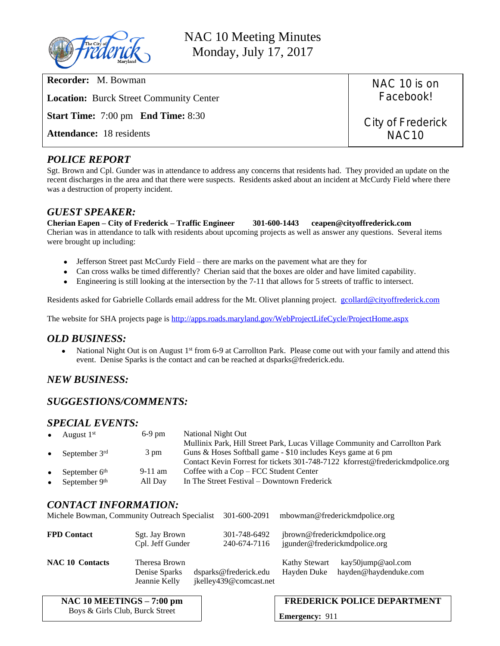

NAC 10 Meeting Minutes Monday, July 17, 2017

**Recorder:** M. Bowman

**Location:** Burck Street Community Center

**Start Time:** 7:00 pm **End Time:** 8:30

**Attendance:** 18 residents

NAC 10 is on Facebook!

City of Frederick NAC10

### *POLICE REPORT*

Sgt. Brown and Cpl. Gunder was in attendance to address any concerns that residents had. They provided an update on the recent discharges in the area and that there were suspects. Residents asked about an incident at McCurdy Field where there was a destruction of property incident.

### *GUEST SPEAKER:*

#### **Cherian Eapen – City of Frederick – Traffic Engineer 301-600-1443 ceapen@cityoffrederick.com**

Cherian was in attendance to talk with residents about upcoming projects as well as answer any questions. Several items were brought up including:

- Jefferson Street past McCurdy Field there are marks on the pavement what are they for
- Can cross walks be timed differently? Cherian said that the boxes are older and have limited capability.
- Engineering is still looking at the intersection by the 7-11 that allows for 5 streets of traffic to intersect.

Residents asked for Gabrielle Collards email address for the Mt. Olivet planning project. [gcollard@cityoffrederick.com](mailto:gcollard@cityoffrederick.com)

The website for SHA projects page is<http://apps.roads.maryland.gov/WebProjectLifeCycle/ProjectHome.aspx>

### *OLD BUSINESS:*

• National Night Out is on August 1<sup>st</sup> from 6-9 at Carrollton Park. Please come out with your family and attend this event. Denise Sparks is the contact and can be reached at dsparks@frederick.edu.

# *NEW BUSINESS:*

## *SUGGESTIONS/COMMENTS:*

### *SPECIAL EVENTS:*

| $\bullet$ | August 1 <sup>st</sup> | $6-9$ pm  | National Night Out                                                            |
|-----------|------------------------|-----------|-------------------------------------------------------------------------------|
|           |                        |           | Mullinix Park, Hill Street Park, Lucas Village Community and Carrollton Park  |
| $\bullet$ | September $3rd$        | 3 pm      | Guns & Hoses Softball game - \$10 includes Keys game at 6 pm                  |
|           |                        |           | Contact Kevin Forrest for tickets 301-748-7122 kforrest@frederickmdpolice.org |
| $\bullet$ | September $6th$        | $9-11$ am | Coffee with a Cop – FCC Student Center                                        |
| $\bullet$ | September 9th          | All Day   | In The Street Festival – Downtown Frederick                                   |

## *CONTACT INFORMATION:*

|                        | Michele Bowman, Community Outreach Specialist   | 301-600-2091                                    | mbowman@frederickmdpolice.org                                 |                                            |
|------------------------|-------------------------------------------------|-------------------------------------------------|---------------------------------------------------------------|--------------------------------------------|
| <b>FPD Contact</b>     | Sgt. Jay Brown<br>Cpl. Jeff Gunder              | 301-748-6492<br>240-674-7116                    | jbrown@frederickmdpolice.org<br>jgunder@frederickmdpolice.org |                                            |
| <b>NAC 10 Contacts</b> | Theresa Brown<br>Denise Sparks<br>Jeannie Kelly | dsparks@frederick.edu<br>jkelley439@comcast.net | <b>Kathy Stewart</b><br>Hayden Duke                           | kay50jump@aol.com<br>hayden@haydenduke.com |

| NAC 10 MEETINGS – 7:00 pm       |  |
|---------------------------------|--|
| Boys & Girls Club, Burck Street |  |

### **FREDERICK POLICE DEPARTMENT**

**Emergency:** 911